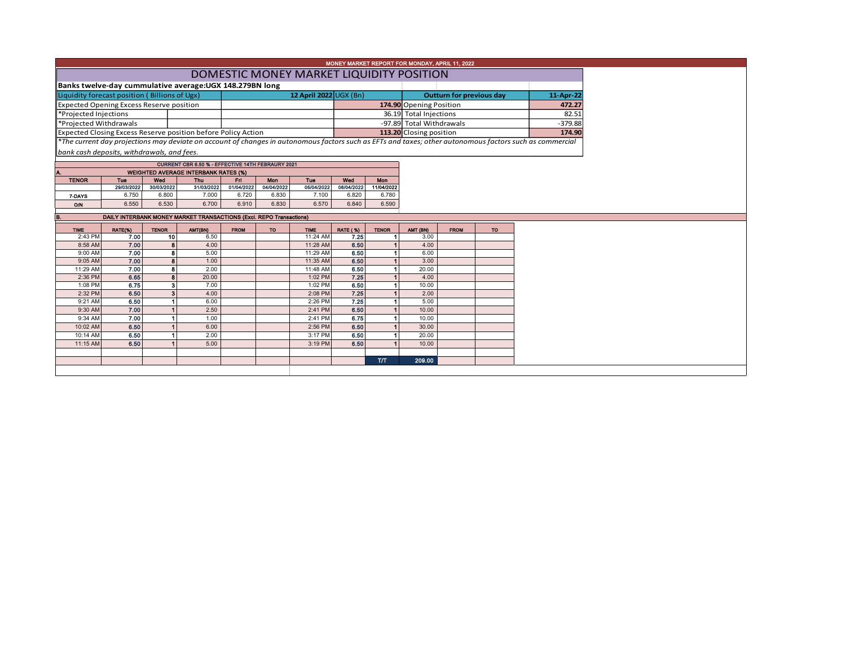|                                                                                                                                                                    |                                                                                                                                                                                     |                         |                                                   |             |            |                                          |                 |              | MONEY MARKET REPORT FOR MONDAY, APRIL 11, 2022 |             |           |  |  |  |
|--------------------------------------------------------------------------------------------------------------------------------------------------------------------|-------------------------------------------------------------------------------------------------------------------------------------------------------------------------------------|-------------------------|---------------------------------------------------|-------------|------------|------------------------------------------|-----------------|--------------|------------------------------------------------|-------------|-----------|--|--|--|
|                                                                                                                                                                    |                                                                                                                                                                                     |                         |                                                   |             |            | DOMESTIC MONEY MARKET LIQUIDITY POSITION |                 |              |                                                |             |           |  |  |  |
|                                                                                                                                                                    |                                                                                                                                                                                     |                         |                                                   |             |            |                                          |                 |              |                                                |             |           |  |  |  |
|                                                                                                                                                                    | Banks twelve-day cummulative average: UGX 148.279BN long<br>12 April 2022 UGX (Bn)<br>Liquidity forecast position (Billions of Ugx)<br><b>Outturn for previous day</b><br>11-Apr-22 |                         |                                                   |             |            |                                          |                 |              |                                                |             |           |  |  |  |
| Expected Opening Excess Reserve position                                                                                                                           |                                                                                                                                                                                     |                         | 174.90 Opening Position                           |             |            |                                          |                 |              |                                                |             |           |  |  |  |
| *Projected Injections                                                                                                                                              |                                                                                                                                                                                     |                         |                                                   |             |            |                                          |                 |              | 36.19 Total Injections                         |             |           |  |  |  |
| *Projected Withdrawals                                                                                                                                             |                                                                                                                                                                                     |                         |                                                   |             |            |                                          |                 |              | -97.89 Total Withdrawals                       |             |           |  |  |  |
| Expected Closing Excess Reserve position before Policy Action                                                                                                      |                                                                                                                                                                                     |                         |                                                   |             |            |                                          |                 |              | 113.20 Closing position                        |             |           |  |  |  |
| 174.90<br>*The current day projections may deviate on account of changes in autonomous factors such as EFTs and taxes; other autonomous factors such as commercial |                                                                                                                                                                                     |                         |                                                   |             |            |                                          |                 |              |                                                |             |           |  |  |  |
| bank cash deposits, withdrawals, and fees.                                                                                                                         |                                                                                                                                                                                     |                         |                                                   |             |            |                                          |                 |              |                                                |             |           |  |  |  |
|                                                                                                                                                                    |                                                                                                                                                                                     |                         | CURRENT CBR 6.50 % - EFFECTIVE 14TH FEBRAURY 2021 |             |            |                                          |                 |              |                                                |             |           |  |  |  |
|                                                                                                                                                                    |                                                                                                                                                                                     |                         | <b>WEIGHTED AVERAGE INTERBANK RATES (%)</b>       |             |            |                                          |                 |              |                                                |             |           |  |  |  |
| <b>TENOR</b>                                                                                                                                                       | Tue                                                                                                                                                                                 | Wed                     | <b>Thu</b>                                        | Fri         | Mon        | Tue                                      | Wed             | Mon          |                                                |             |           |  |  |  |
|                                                                                                                                                                    | 29/03/2022                                                                                                                                                                          | 30/03/2022              | 31/03/2022                                        | 01/04/2022  | 04/04/2022 | 05/04/2022                               | 06/04/2022      | 11/04/2022   |                                                |             |           |  |  |  |
| 7-DAYS                                                                                                                                                             | 6.750                                                                                                                                                                               | 6.800                   | 7.000                                             | 6.720       | 6.830      | 7.100                                    | 6.820           | 6.780        |                                                |             |           |  |  |  |
| O/N                                                                                                                                                                | 6.550                                                                                                                                                                               | 6.530                   | 6.700                                             | 6.910       | 6.830      | 6.570                                    | 6.840           | 6.590        |                                                |             |           |  |  |  |
|                                                                                                                                                                    | DAILY INTERBANK MONEY MARKET TRANSACTIONS (Excl. REPO Transactions)                                                                                                                 |                         |                                                   |             |            |                                          |                 |              |                                                |             |           |  |  |  |
| <b>TIME</b>                                                                                                                                                        | RATE(%)                                                                                                                                                                             | <b>TENOR</b>            | AMT(BN)                                           | <b>FROM</b> | <b>TO</b>  | <b>TIME</b>                              | <b>RATE (%)</b> | <b>TENOR</b> | AMT (BN)                                       | <b>FROM</b> | <b>TO</b> |  |  |  |
| 2:43 PM                                                                                                                                                            | 7.00                                                                                                                                                                                | 10                      | 6.50                                              |             |            | 11:24 AM                                 | 7.25            |              | 3.00                                           |             |           |  |  |  |
| 8:58 AM                                                                                                                                                            | 7.00                                                                                                                                                                                | 8                       | 4.00                                              |             |            | 11:28 AM                                 | 6.50            |              | 4.00                                           |             |           |  |  |  |
| 9:00 AM                                                                                                                                                            | 7.00                                                                                                                                                                                | 8                       | 5.00                                              |             |            | 11:29 AM                                 | 6.50            |              | 6.00                                           |             |           |  |  |  |
| 9:05 AM                                                                                                                                                            | 7.00                                                                                                                                                                                | 8                       | 1.00                                              |             |            | 11:35 AM                                 | 6.50            |              | 3.00                                           |             |           |  |  |  |
| 11:29 AM                                                                                                                                                           | 7.00<br>6.65                                                                                                                                                                        | 8<br>8                  | 2.00                                              |             |            | 11:48 AM                                 | 6.50<br>7.25    |              | 20.00                                          |             |           |  |  |  |
| 2:36 PM<br>1:08 PM                                                                                                                                                 | 6.75                                                                                                                                                                                | $\overline{\mathbf{3}}$ | 20.00<br>7.00                                     |             |            | 1:02 PM<br>1:02 PM                       | 6.50            |              | 4.00<br>10.00                                  |             |           |  |  |  |
| 2:32 PM                                                                                                                                                            | 6.50                                                                                                                                                                                | 3                       | 4.00                                              |             |            | 2:08 PM                                  | 7.25            |              | 2.00                                           |             |           |  |  |  |
| 9:21 AM                                                                                                                                                            | 6.50                                                                                                                                                                                |                         | 6.00                                              |             |            | 2:26 PM                                  | 7.25            |              | 5.00                                           |             |           |  |  |  |
| 9:30 AM                                                                                                                                                            | 7.00                                                                                                                                                                                |                         | 2.50                                              |             |            | 2:41 PM                                  | 6.50            |              | 10.00                                          |             |           |  |  |  |
| 9:34 AM                                                                                                                                                            | 7.00                                                                                                                                                                                |                         | 1.00                                              |             |            | 2:41 PM                                  | 6.75            |              | 10.00                                          |             |           |  |  |  |
| 10:02 AM                                                                                                                                                           | 6.50                                                                                                                                                                                |                         | 6.00                                              |             |            | 2:56 PM                                  | 6.50            |              | 30.00                                          |             |           |  |  |  |
| 10:14 AM                                                                                                                                                           | 6.50                                                                                                                                                                                |                         | 2.00                                              |             |            | 3:17 PM                                  | 6.50            |              | 20.00                                          |             |           |  |  |  |
| 11:15 AM                                                                                                                                                           | 6.50                                                                                                                                                                                |                         | 5.00                                              |             |            | 3:19 PM                                  | 6.50            |              | 10.00                                          |             |           |  |  |  |
|                                                                                                                                                                    |                                                                                                                                                                                     |                         |                                                   |             |            |                                          |                 |              |                                                |             |           |  |  |  |
|                                                                                                                                                                    |                                                                                                                                                                                     |                         |                                                   |             |            |                                          |                 | <b>T/T</b>   | 209.00                                         |             |           |  |  |  |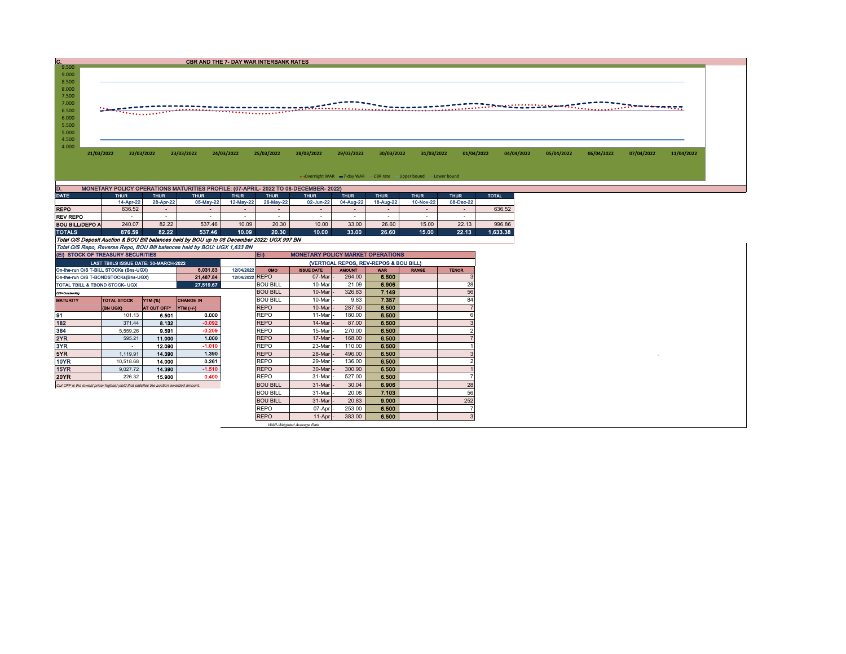| IC.                    |                                        |                                                                                       | <b>CBR AND THE 7- DAY WAR INTERBANK RATES</b>                                                                                                                             |                 |                     |                                          |                  |                                        |                                                                   |                |              |            |            |            |            |
|------------------------|----------------------------------------|---------------------------------------------------------------------------------------|---------------------------------------------------------------------------------------------------------------------------------------------------------------------------|-----------------|---------------------|------------------------------------------|------------------|----------------------------------------|-------------------------------------------------------------------|----------------|--------------|------------|------------|------------|------------|
| 9.500                  |                                        |                                                                                       |                                                                                                                                                                           |                 |                     |                                          |                  |                                        |                                                                   |                |              |            |            |            |            |
| 9.000<br>8.500         |                                        |                                                                                       |                                                                                                                                                                           |                 |                     |                                          |                  |                                        |                                                                   |                |              |            |            |            |            |
| 8.000                  |                                        |                                                                                       |                                                                                                                                                                           |                 |                     |                                          |                  |                                        |                                                                   |                |              |            |            |            |            |
| 7.500                  |                                        |                                                                                       |                                                                                                                                                                           |                 |                     |                                          |                  |                                        |                                                                   |                |              |            |            |            |            |
| 7.000                  |                                        |                                                                                       |                                                                                                                                                                           |                 |                     |                                          |                  |                                        |                                                                   |                |              |            |            |            |            |
| 6.500                  |                                        |                                                                                       |                                                                                                                                                                           |                 |                     |                                          |                  |                                        |                                                                   |                |              |            |            |            |            |
| 6.000                  |                                        |                                                                                       |                                                                                                                                                                           |                 |                     |                                          |                  |                                        |                                                                   |                |              |            |            |            |            |
| 5.500                  |                                        |                                                                                       |                                                                                                                                                                           |                 |                     |                                          |                  |                                        |                                                                   |                |              |            |            |            |            |
| 5.000<br>4.500         |                                        |                                                                                       |                                                                                                                                                                           |                 |                     |                                          |                  |                                        |                                                                   |                |              |            |            |            |            |
| 4.000                  |                                        |                                                                                       |                                                                                                                                                                           |                 |                     |                                          |                  |                                        |                                                                   |                |              |            |            |            |            |
|                        | 21/03/2022                             | 22/03/2022                                                                            | 23/03/2022                                                                                                                                                                | 24/03/2022      | 25/03/2022          | 28/03/2022                               | 29/03/2022       | 30/03/2022                             | 31/03/2022                                                        | 01/04/2022     | 04/04/2022   | 05/04/2022 | 06/04/2022 | 07/04/2022 | 11/04/2022 |
|                        |                                        |                                                                                       |                                                                                                                                                                           |                 |                     |                                          |                  |                                        |                                                                   |                |              |            |            |            |            |
|                        |                                        |                                                                                       |                                                                                                                                                                           |                 |                     |                                          |                  |                                        |                                                                   |                |              |            |            |            |            |
|                        |                                        |                                                                                       |                                                                                                                                                                           |                 |                     |                                          |                  |                                        | • Overnight WAR -7-day WAR - CBR rate - Upper bound - Lower bound |                |              |            |            |            |            |
| D.                     |                                        |                                                                                       | MONETARY POLICY OPERATIONS MATURITIES PROFILE: (07-APRIL-2022 TO 08-DECEMBER-2022)                                                                                        |                 |                     |                                          |                  |                                        |                                                                   |                |              |            |            |            |            |
| <b>DATE</b>            | <b>THUR</b>                            | <b>THUR</b>                                                                           | <b>THUR</b>                                                                                                                                                               | <b>THUR</b>     | <b>THUR</b>         | <b>THUR</b>                              | <b>THUR</b>      | <b>THUR</b>                            | <b>THUR</b>                                                       | <b>THUR</b>    | <b>TOTAL</b> |            |            |            |            |
|                        | 14-Apr-22                              | 28-Apr-22                                                                             | 05-May-22                                                                                                                                                                 | 12-May-22       | 26-May-22           | 02-Jun-22                                | 04-Aug-22        | 18-Aug-22                              | 10-Nov-22                                                         | 08-Dec-22      |              |            |            |            |            |
| <b>REPO</b>            | 636.52                                 | $\sim$                                                                                | $\sim$                                                                                                                                                                    | $\sim$          | $\sim$              | $\overline{a}$                           | $\sim$           | $\sim$                                 | $\sim$                                                            | $\sim$         | 636.52       |            |            |            |            |
| <b>REV REPO</b>        | $\sim$                                 | $\sim$                                                                                | $\sim$                                                                                                                                                                    | $\sim$          | $\sim$              | $\sim$                                   | $\sim$           | $\sim$                                 | $\sim$                                                            | $\sim$         |              |            |            |            |            |
| <b>BOU BILL/DEPO A</b> | 240.07                                 | 82.22                                                                                 | 537.46                                                                                                                                                                    | 10.09           | 20.30               | 10.00                                    | 33.00            | 26.60                                  | 15.00                                                             | 22.13          | 996.86       |            |            |            |            |
| <b>TOTALS</b>          | 876.59                                 | 82.22                                                                                 | 537.46                                                                                                                                                                    | 10.09           | 20.30               | 10.00                                    | 33.00            | 26.60                                  | 15.00                                                             | 22.13          | 1.633.38     |            |            |            |            |
|                        |                                        |                                                                                       | Total O/S Deposit Auction & BOU Bill balances held by BOU up to 08 December 2022: UGX 997 BN<br>Total O/S Repo, Reverse Repo, BOU Bill balances held by BOU: UGX 1,633 BN |                 |                     |                                          |                  |                                        |                                                                   |                |              |            |            |            |            |
|                        | (EI) STOCK OF TREASURY SECURITIES      |                                                                                       |                                                                                                                                                                           |                 | EID                 | <b>MONETARY POLICY MARKET OPERATIONS</b> |                  |                                        |                                                                   |                |              |            |            |            |            |
|                        | LAST TBIILS ISSUE DATE: 30-MARCH-2022  |                                                                                       |                                                                                                                                                                           |                 |                     |                                          |                  | (VERTICAL REPOS, REV-REPOS & BOU BILL) |                                                                   |                |              |            |            |            |            |
|                        | On-the-run O/S T-BILL STOCKs (Bns-UGX) |                                                                                       | 6,031.83                                                                                                                                                                  | 12/04/2022      | OMO                 | <b>ISSUE DATE</b>                        | <b>AMOUNT</b>    | <b>WAR</b>                             | <b>RANGE</b>                                                      | <b>TENOR</b>   |              |            |            |            |            |
|                        | On-the-run O/S T-BONDSTOCKs(Bns-UGX)   |                                                                                       | 21,487.84                                                                                                                                                                 | 12/04/2022 REPO |                     | 07-Mar                                   | 264.00           | 6.500                                  |                                                                   | 3              |              |            |            |            |            |
|                        | TOTAL TBILL & TBOND STOCK- UGX         |                                                                                       | 27.519.67                                                                                                                                                                 |                 | <b>BOU BILL</b>     | 10-Mar                                   | 21.09            | 6.906                                  |                                                                   | 28             |              |            |            |            |            |
| O/S=Outstanding        |                                        |                                                                                       |                                                                                                                                                                           |                 | <b>BOU BILL</b>     | 10-Mar                                   | 326.83           | 7.149                                  |                                                                   | 56             |              |            |            |            |            |
| <b>MATURITY</b>        | <b>TOTAL STOCK</b>                     | YTM (%)                                                                               | <b>CHANGE IN</b>                                                                                                                                                          |                 | <b>BOU BILL</b>     | 10-Mar                                   | 9.83             | 7.357                                  |                                                                   | 84             |              |            |            |            |            |
|                        | (BN UGX)                               | AT CUT OFF*                                                                           | YTM (+/-)                                                                                                                                                                 |                 | <b>REPO</b>         | 10-Mar                                   | 287.50           | 6.500                                  |                                                                   | $\overline{7}$ |              |            |            |            |            |
| 91                     | 101.13                                 | 6,501                                                                                 | 0.000                                                                                                                                                                     |                 | <b>REPO</b>         | 11-Mar                                   | 180.00           | 6.500                                  |                                                                   | 6              |              |            |            |            |            |
| 182                    | 371.44                                 | 8.132                                                                                 | $-0.092$                                                                                                                                                                  |                 | <b>REPO</b>         | 14-Mar                                   | 87.00            | 6.500                                  |                                                                   | 3              |              |            |            |            |            |
| 364                    | 5,559.26                               | 9.591                                                                                 | $-0.209$                                                                                                                                                                  |                 | REPO                | 15-Mar                                   | 270.00           | 6.500                                  |                                                                   | 2              |              |            |            |            |            |
| 2YR                    | 595.21                                 | 11.000                                                                                | 1.000                                                                                                                                                                     |                 | <b>REPO</b>         | 17-Mar                                   | 168,00           | 6.500                                  |                                                                   |                |              |            |            |            |            |
| 3YR                    | $\sim$                                 | 12.090                                                                                | $-1.010$                                                                                                                                                                  |                 | <b>REPO</b>         | 23-Mar                                   | 110.00           | 6.500                                  |                                                                   |                |              |            |            |            |            |
| 5YR                    | 1,119.91                               | 14,390                                                                                | 1.390                                                                                                                                                                     |                 | <b>REPO</b>         | 28-Mar                                   | 496.00           | 6.500                                  |                                                                   | 3              |              |            |            |            |            |
| <b>10YR</b>            | 10,518.68                              | 14.000                                                                                | 0.261                                                                                                                                                                     |                 | REPO                | 29-Mar                                   | 136.00           | 6.500                                  |                                                                   | 2              |              |            |            |            |            |
| 15YR                   | 9,027.72                               | 14.390                                                                                | $-1.510$                                                                                                                                                                  |                 | <b>REPO</b>         | 30-Mar                                   | 300.90           | 6.500                                  |                                                                   |                |              |            |            |            |            |
| <b>20YR</b>            | 226.32                                 | 15,900                                                                                | 0.400                                                                                                                                                                     |                 | REPO                | 31-Mar                                   | 527.00           | 6.500<br>6.906                         |                                                                   |                |              |            |            |            |            |
|                        |                                        | Cut OFF is the lowest price/ highest yield that satisfies the auction awarded amount. |                                                                                                                                                                           |                 |                     |                                          |                  |                                        |                                                                   |                |              |            |            |            |            |
|                        |                                        |                                                                                       |                                                                                                                                                                           |                 | <b>BOU BILL</b>     | 31-Mar                                   | 30.04            |                                        |                                                                   | 28             |              |            |            |            |            |
|                        |                                        |                                                                                       |                                                                                                                                                                           |                 | <b>BOU BILL</b>     | 31-Mar                                   | 20.08            | 7.103                                  |                                                                   | 56             |              |            |            |            |            |
|                        |                                        |                                                                                       |                                                                                                                                                                           |                 | <b>BOU BILL</b>     | 31-Mar                                   | 20.83            | 9.000                                  |                                                                   | 252            |              |            |            |            |            |
|                        |                                        |                                                                                       |                                                                                                                                                                           |                 | REPO<br><b>REPO</b> | 07-Apr<br>11-Apr                         | 253.00<br>383.00 | 6.500<br>6.500                         |                                                                   | $\mathbf{3}$   |              |            |            |            |            |

WAR-Weighted Average Rate